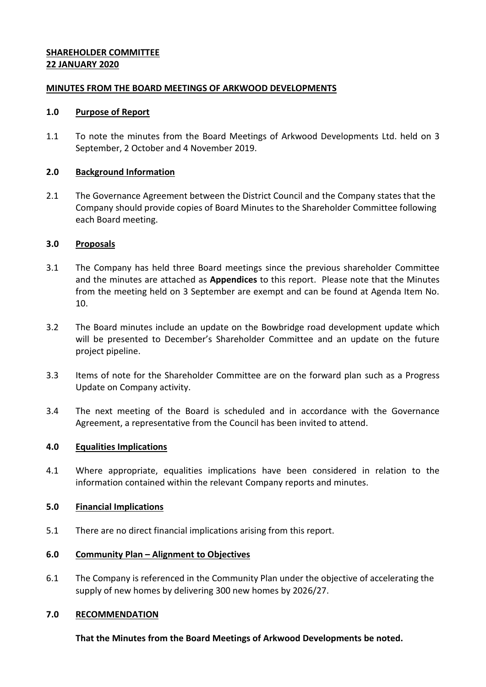## **SHAREHOLDER COMMITTEE 22 JANUARY 2020**

## **MINUTES FROM THE BOARD MEETINGS OF ARKWOOD DEVELOPMENTS**

#### **1.0 Purpose of Report**

1.1 To note the minutes from the Board Meetings of Arkwood Developments Ltd. held on 3 September, 2 October and 4 November 2019.

#### **2.0 Background Information**

2.1 The Governance Agreement between the District Council and the Company states that the Company should provide copies of Board Minutes to the Shareholder Committee following each Board meeting.

#### **3.0 Proposals**

- 3.1 The Company has held three Board meetings since the previous shareholder Committee and the minutes are attached as **Appendices** to this report. Please note that the Minutes from the meeting held on 3 September are exempt and can be found at Agenda Item No. 10.
- 3.2 The Board minutes include an update on the Bowbridge road development update which will be presented to December's Shareholder Committee and an update on the future project pipeline.
- 3.3 Items of note for the Shareholder Committee are on the forward plan such as a Progress Update on Company activity.
- 3.4 The next meeting of the Board is scheduled and in accordance with the Governance Agreement, a representative from the Council has been invited to attend.

## **4.0 Equalities Implications**

4.1 Where appropriate, equalities implications have been considered in relation to the information contained within the relevant Company reports and minutes.

## **5.0 Financial Implications**

5.1 There are no direct financial implications arising from this report.

## **6.0 Community Plan – Alignment to Objectives**

6.1 The Company is referenced in the Community Plan under the objective of accelerating the supply of new homes by delivering 300 new homes by 2026/27.

## **7.0 RECOMMENDATION**

**That the Minutes from the Board Meetings of Arkwood Developments be noted.**